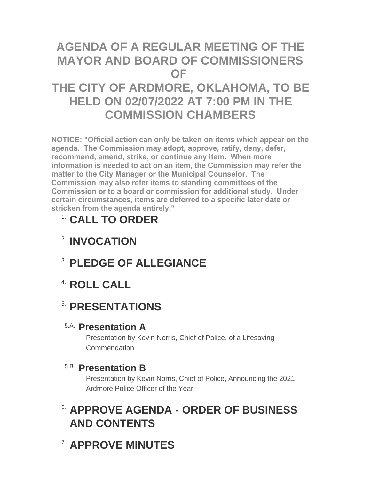# **AGENDA OF A REGULAR MEETING OF THE MAYOR AND BOARD OF COMMISSIONERS OF**

# **THE CITY OF ARDMORE, OKLAHOMA, TO BE HELD ON 02/07/2022 AT 7:00 PM IN THE COMMISSION CHAMBERS**

**NOTICE: "Official action can only be taken on items which appear on the agenda. The Commission may adopt, approve, ratify, deny, defer, recommend, amend, strike, or continue any item. When more information is needed to act on an item, the Commission may refer the matter to the City Manager or the Municipal Counselor. The Commission may also refer items to standing committees of the Commission or to a board or commission for additional study. Under certain circumstances, items are deferred to a specific later date or stricken from the agenda entirely."**

# **CALL TO ORDER** 1.

- **INVOCATION** 2.
- **PLEDGE OF ALLEGIANCE** 3.
- **ROLL CALL** 4.

# **5. PRESENTATIONS**

### **Presentation A** 5.A.

Presentation by Kevin Norris, Chief of Police, of a Lifesaving **Commendation** 

### **Presentation B** 5.B.

Presentation by Kevin Norris, Chief of Police, Announcing the 2021 Ardmore Police Officer of the Year

# **APPROVE AGENDA - ORDER OF BUSINESS**  6. **AND CONTENTS**

**APPROVE MINUTES** 7.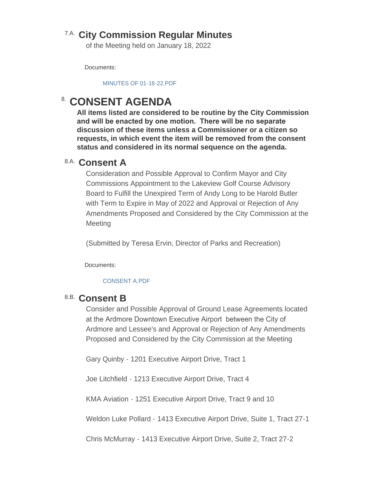### **City Commission Regular Minutes** 7.A.

of the Meeting held on January 18, 2022

Documents:

[MINUTES OF 01-18-22.PDF](http://www.ardmorecity.org/AgendaCenter/ViewFile/Item/8095?fileID=4921)

## **CONSENT AGENDA**

**All items listed are considered to be routine by the City Commission and will be enacted by one motion. There will be no separate discussion of these items unless a Commissioner or a citizen so requests, in which event the item will be removed from the consent status and considered in its normal sequence on the agenda.**

### **Consent A** 8.A.

Consideration and Possible Approval to Confirm Mayor and City Commissions Appointment to the Lakeview Golf Course Advisory Board to Fulfill the Unexpired Term of Andy Long to be Harold Butler with Term to Expire in May of 2022 and Approval or Rejection of Any Amendments Proposed and Considered by the City Commission at the Meeting

(Submitted by Teresa Ervin, Director of Parks and Recreation)

Documents:

#### [CONSENT A.PDF](http://www.ardmorecity.org/AgendaCenter/ViewFile/Item/8096?fileID=4922)

### **Consent B** 8.B.

Consider and Possible Approval of Ground Lease Agreements located at the Ardmore Downtown Executive Airport between the City of Ardmore and Lessee's and Approval or Rejection of Any Amendments Proposed and Considered by the City Commission at the Meeting

Gary Quinby - 1201 Executive Airport Drive, Tract 1

Joe Litchfield - 1213 Executive Airport Drive, Tract 4

KMA Aviation - 1251 Executive Airport Drive, Tract 9 and 10

Weldon Luke Pollard - 1413 Executive Airport Drive, Suite 1, Tract 27-1

Chris McMurray - 1413 Executive Airport Drive, Suite 2, Tract 27-2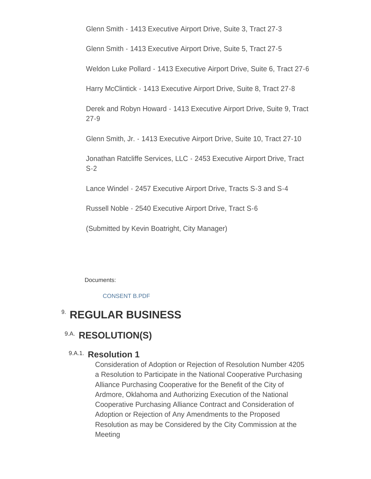Glenn Smith - 1413 Executive Airport Drive, Suite 3, Tract 27-3

Glenn Smith - 1413 Executive Airport Drive, Suite 5, Tract 27-5

Weldon Luke Pollard - 1413 Executive Airport Drive, Suite 6, Tract 27-6

Harry McClintick - 1413 Executive Airport Drive, Suite 8, Tract 27-8

Derek and Robyn Howard - 1413 Executive Airport Drive, Suite 9, Tract 27-9

Glenn Smith, Jr. - 1413 Executive Airport Drive, Suite 10, Tract 27-10

Jonathan Ratcliffe Services, LLC - 2453 Executive Airport Drive, Tract S-2

Lance Windel - 2457 Executive Airport Drive, Tracts S-3 and S-4

Russell Noble - 2540 Executive Airport Drive, Tract S-6

(Submitted by Kevin Boatright, City Manager)

Documents:

#### [CONSENT B.PDF](http://www.ardmorecity.org/AgendaCenter/ViewFile/Item/8100?fileID=4923)

## **8. REGULAR BUSINESS**

### 9.A. RESOLUTION(S)

#### 9.A.1. Resolution 1

Consideration of Adoption or Rejection of Resolution Number 4205 a Resolution to Participate in the National Cooperative Purchasing Alliance Purchasing Cooperative for the Benefit of the City of Ardmore, Oklahoma and Authorizing Execution of the National Cooperative Purchasing Alliance Contract and Consideration of Adoption or Rejection of Any Amendments to the Proposed Resolution as may be Considered by the City Commission at the Meeting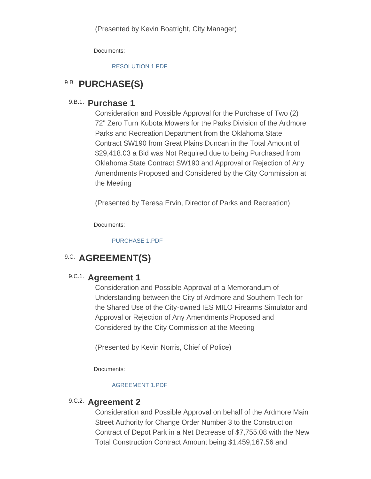Documents:

[RESOLUTION 1.PDF](http://www.ardmorecity.org/AgendaCenter/ViewFile/Item/8097?fileID=4924)

### 9.B. PURCHASE(S)

#### 9.B.1. **Purchase 1**

Consideration and Possible Approval for the Purchase of Two (2) 72" Zero Turn Kubota Mowers for the Parks Division of the Ardmore Parks and Recreation Department from the Oklahoma State Contract SW190 from Great Plains Duncan in the Total Amount of \$29,418.03 a Bid was Not Required due to being Purchased from Oklahoma State Contract SW190 and Approval or Rejection of Any Amendments Proposed and Considered by the City Commission at the Meeting

(Presented by Teresa Ervin, Director of Parks and Recreation)

Documents:

[PURCHASE 1.PDF](http://www.ardmorecity.org/AgendaCenter/ViewFile/Item/8098?fileID=4925)

## **9.C. AGREEMENT(S)**

### 9.C.1. **Agreement 1**

Consideration and Possible Approval of a Memorandum of Understanding between the City of Ardmore and Southern Tech for the Shared Use of the City-owned IES MILO Firearms Simulator and Approval or Rejection of Any Amendments Proposed and Considered by the City Commission at the Meeting

(Presented by Kevin Norris, Chief of Police)

Documents:

#### [AGREEMENT 1.PDF](http://www.ardmorecity.org/AgendaCenter/ViewFile/Item/8099?fileID=4926)

### 9.C.2. **Agreement 2**

Consideration and Possible Approval on behalf of the Ardmore Main Street Authority for Change Order Number 3 to the Construction Contract of Depot Park in a Net Decrease of \$7,755.08 with the New Total Construction Contract Amount being \$1,459,167.56 and